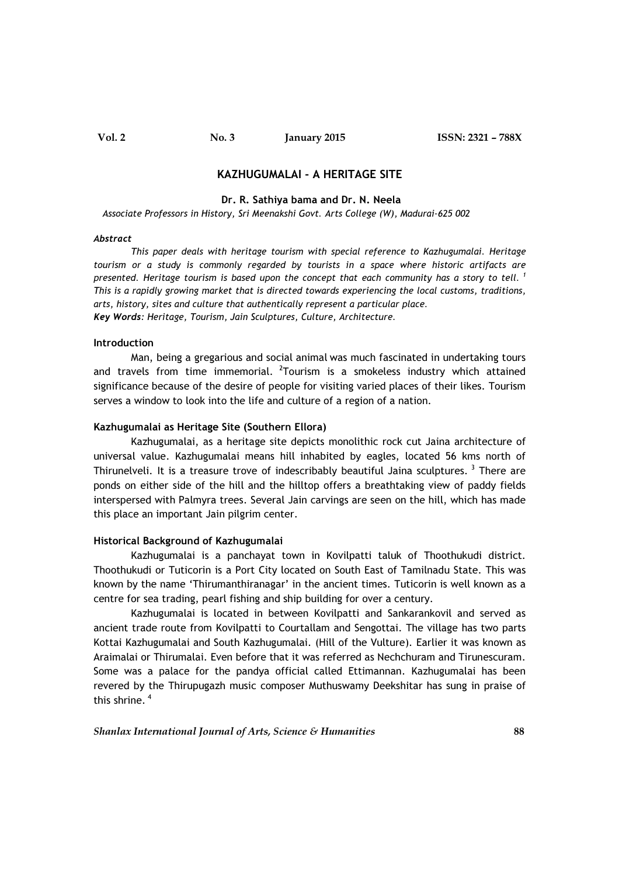# KAZHUGUMALAI - A HERITAGE SITE

#### Dr. R. Sathiya bama and Dr. N. Neela

Associate Professors in History, Sri Meenakshi Govt. Arts College (W), Madurai-625 002

#### Abstract

This paper deals with heritage tourism with special reference to Kazhugumalai. Heritage tourism or a study is commonly regarded by tourists in a space where historic artifacts are presented. Heritage tourism is based upon the concept that each community has a story to tell.<sup>1</sup> This is a rapidly growing market that is directed towards experiencing the local customs, traditions, arts, history, sites and culture that authentically represent a particular place. Key Words: Heritage, Tourism, Jain Sculptures, Culture, Architecture.

### Introduction

 Man, being a gregarious and social animal was much fascinated in undertaking tours and travels from time immemorial. <sup>2</sup>Tourism is a smokeless industry which attained significance because of the desire of people for visiting varied places of their likes. Tourism serves a window to look into the life and culture of a region of a nation.

# Kazhugumalai as Heritage Site (Southern Ellora)

Kazhugumalai, as a heritage site depicts monolithic rock cut Jaina architecture of universal value. Kazhugumalai means hill inhabited by eagles, located 56 kms north of Thirunelveli. It is a treasure trove of indescribably beautiful Jaina sculptures.<sup>3</sup> There are ponds on either side of the hill and the hilltop offers a breathtaking view of paddy fields interspersed with Palmyra trees. Several Jain carvings are seen on the hill, which has made this place an important Jain pilgrim center.

### Historical Background of Kazhugumalai

Kazhugumalai is a panchayat town in Kovilpatti taluk of Thoothukudi district. Thoothukudi or Tuticorin is a Port City located on South East of Tamilnadu State. This was known by the name 'Thirumanthiranagar' in the ancient times. Tuticorin is well known as a centre for sea trading, pearl fishing and ship building for over a century.

 Kazhugumalai is located in between Kovilpatti and Sankarankovil and served as ancient trade route from Kovilpatti to Courtallam and Sengottai. The village has two parts Kottai Kazhugumalai and South Kazhugumalai. (Hill of the Vulture). Earlier it was known as Araimalai or Thirumalai. Even before that it was referred as Nechchuram and Tirunescuram. Some was a palace for the pandya official called Ettimannan. Kazhugumalai has been revered by the Thirupugazh music composer Muthuswamy Deekshitar has sung in praise of this shrine.  $4$ 

Shanlax International Journal of Arts, Science & Humanities 688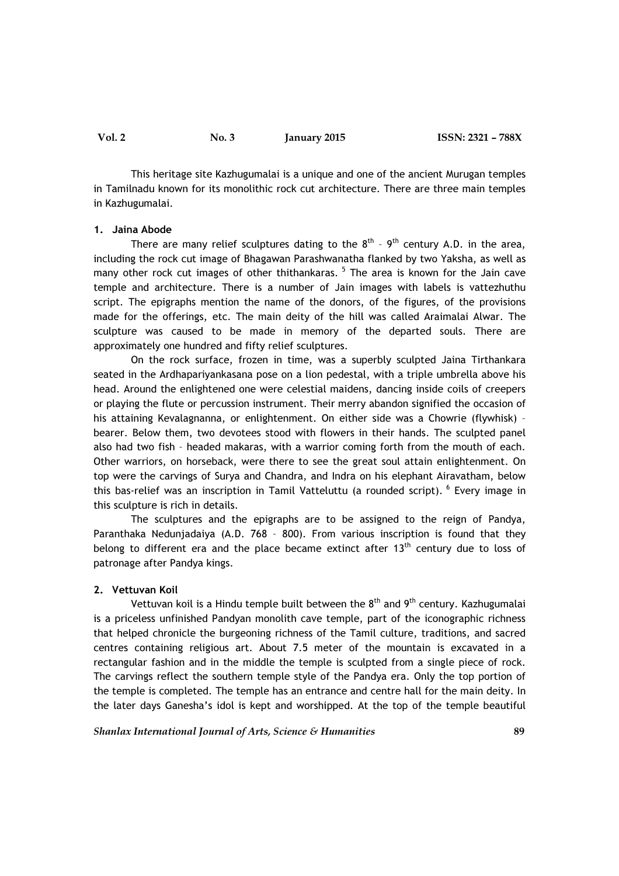This heritage site Kazhugumalai is a unique and one of the ancient Murugan temples in Tamilnadu known for its monolithic rock cut architecture. There are three main temples in Kazhugumalai.

#### 1. Jaina Abode

There are many relief sculptures dating to the  $8^{th}$  -  $9^{th}$  century A.D. in the area, including the rock cut image of Bhagawan Parashwanatha flanked by two Yaksha, as well as many other rock cut images of other thithankaras.<sup>5</sup> The area is known for the Jain cave temple and architecture. There is a number of Jain images with labels is vattezhuthu script. The epigraphs mention the name of the donors, of the figures, of the provisions made for the offerings, etc. The main deity of the hill was called Araimalai Alwar. The sculpture was caused to be made in memory of the departed souls. There are approximately one hundred and fifty relief sculptures.

 On the rock surface, frozen in time, was a superbly sculpted Jaina Tirthankara seated in the Ardhapariyankasana pose on a lion pedestal, with a triple umbrella above his head. Around the enlightened one were celestial maidens, dancing inside coils of creepers or playing the flute or percussion instrument. Their merry abandon signified the occasion of his attaining Kevalagnanna, or enlightenment. On either side was a Chowrie (flywhisk) – bearer. Below them, two devotees stood with flowers in their hands. The sculpted panel also had two fish – headed makaras, with a warrior coming forth from the mouth of each. Other warriors, on horseback, were there to see the great soul attain enlightenment. On top were the carvings of Surya and Chandra, and Indra on his elephant Airavatham, below this bas-relief was an inscription in Tamil Vatteluttu (a rounded script). <sup>6</sup> Every image in this sculpture is rich in details.

 The sculptures and the epigraphs are to be assigned to the reign of Pandya, Paranthaka Nedunjadaiya (A.D. 768 – 800). From various inscription is found that they belong to different era and the place became extinct after  $13<sup>th</sup>$  century due to loss of patronage after Pandya kings.

### 2. Vettuvan Koil

Vettuvan koil is a Hindu temple built between the  $8<sup>th</sup>$  and  $9<sup>th</sup>$  century. Kazhugumalai is a priceless unfinished Pandyan monolith cave temple, part of the iconographic richness that helped chronicle the burgeoning richness of the Tamil culture, traditions, and sacred centres containing religious art. About 7.5 meter of the mountain is excavated in a rectangular fashion and in the middle the temple is sculpted from a single piece of rock. The carvings reflect the southern temple style of the Pandya era. Only the top portion of the temple is completed. The temple has an entrance and centre hall for the main deity. In the later days Ganesha's idol is kept and worshipped. At the top of the temple beautiful

Shanlax International Journal of Arts, Science & Humanities 69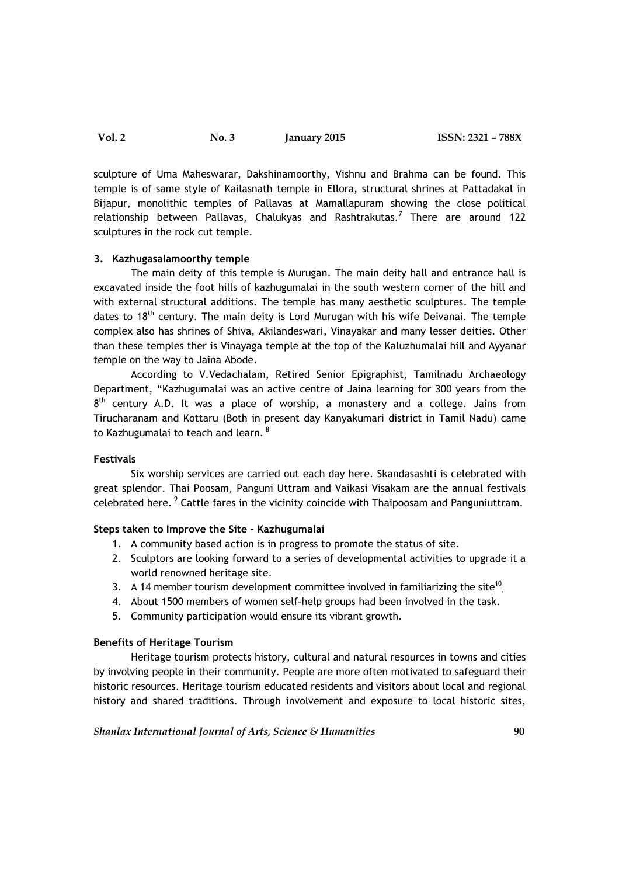Vol. 2 No. 3 January 2015 ISSN: 2321 – 788X

sculpture of Uma Maheswarar, Dakshinamoorthy, Vishnu and Brahma can be found. This temple is of same style of Kailasnath temple in Ellora, structural shrines at Pattadakal in Bijapur, monolithic temples of Pallavas at Mamallapuram showing the close political relationship between Pallavas, Chalukyas and Rashtrakutas.<sup>7</sup> There are around 122 sculptures in the rock cut temple.

# 3. Kazhugasalamoorthy temple

 The main deity of this temple is Murugan. The main deity hall and entrance hall is excavated inside the foot hills of kazhugumalai in the south western corner of the hill and with external structural additions. The temple has many aesthetic sculptures. The temple dates to 18<sup>th</sup> century. The main deity is Lord Murugan with his wife Deivanai. The temple complex also has shrines of Shiva, Akilandeswari, Vinayakar and many lesser deities. Other than these temples ther is Vinayaga temple at the top of the Kaluzhumalai hill and Ayyanar temple on the way to Jaina Abode.

 According to V.Vedachalam, Retired Senior Epigraphist, Tamilnadu Archaeology Department, "Kazhugumalai was an active centre of Jaina learning for 300 years from the  $8<sup>th</sup>$  century A.D. It was a place of worship, a monastery and a college. Jains from Tirucharanam and Kottaru (Both in present day Kanyakumari district in Tamil Nadu) came to Kazhugumalai to teach and learn.  $^8$ 

# Festivals

 Six worship services are carried out each day here. Skandasashti is celebrated with great splendor. Thai Poosam, Panguni Uttram and Vaikasi Visakam are the annual festivals celebrated here.<sup>9</sup> Cattle fares in the vicinity coincide with Thaipoosam and Panguniuttram.

# Steps taken to Improve the Site - Kazhugumalai

- 1. A community based action is in progress to promote the status of site.
- 2. Sculptors are looking forward to a series of developmental activities to upgrade it a world renowned heritage site.
- 3. A 14 member tourism development committee involved in familiarizing the site<sup>10</sup>.
- 4. About 1500 members of women self-help groups had been involved in the task.
- 5. Community participation would ensure its vibrant growth.

# Benefits of Heritage Tourism

 Heritage tourism protects history, cultural and natural resources in towns and cities by involving people in their community. People are more often motivated to safeguard their historic resources. Heritage tourism educated residents and visitors about local and regional history and shared traditions. Through involvement and exposure to local historic sites,

Shanlax International Journal of Arts, Science & Humanities  $90$